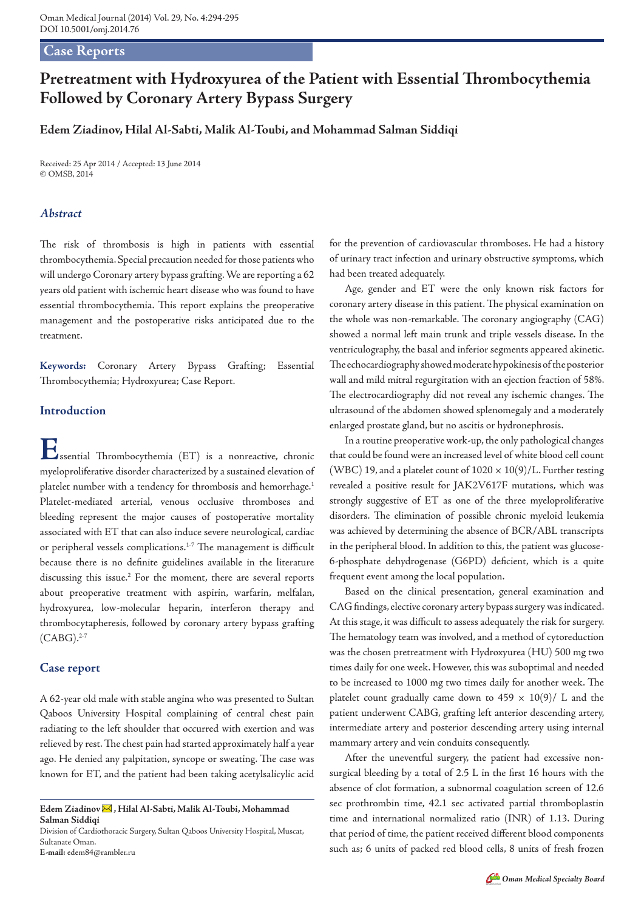## **Case Reports**

# **Pretreatment with Hydroxyurea of the Patient with Essential Thrombocythemia Followed by Coronary Artery Bypass Surgery**

**Edem Ziadinov, Hilal Al-Sabti, Malik Al-Toubi, and Mohammad Salman Siddiqi**

Received: 25 Apr 2014 / Accepted: 13 June 2014 © OMSB, 2014

### *Abstract*

The risk of thrombosis is high in patients with essential thrombocythemia. Special precaution needed for those patients who will undergo Coronary artery bypass grafting. We are reporting a 62 years old patient with ischemic heart disease who was found to have essential thrombocythemia. This report explains the preoperative management and the postoperative risks anticipated due to the treatment.

**Keywords:** Coronary Artery Bypass Grafting; Essential Thrombocythemia; Hydroxyurea; Case Report.

## **Introduction**

**E**ssential Thrombocythemia (ET) is a nonreactive, chronic myeloproliferative disorder characterized by a sustained elevation of platelet number with a tendency for thrombosis and hemorrhage.<sup>1</sup> Platelet-mediated arterial, venous occlusive thromboses and bleeding represent the major causes of postoperative mortality associated with ET that can also induce severe neurological, cardiac or peripheral vessels complications.<sup>1-7</sup> The management is difficult because there is no definite guidelines available in the literature discussing this issue.<sup>2</sup> For the moment, there are several reports about preoperative treatment with aspirin, warfarin, melfalan, hydroxyurea, low-molecular heparin, interferon therapy and thrombocytapheresis, followed by coronary artery bypass grafting  $(CABG).^{2-7}$ 

### **Case report**

A 62-year old male with stable angina who was presented to Sultan Qaboos University Hospital complaining of central chest pain radiating to the left shoulder that occurred with exertion and was relieved by rest. The chest pain had started approximately half a year ago. He denied any palpitation, syncope or sweating. The case was known for ET, and the patient had been taking acetylsalicylic acid

**E-mail:** edem84@rambler.ru

for the prevention of cardiovascular thromboses. He had a history of urinary tract infection and urinary obstructive symptoms, which had been treated adequately.

Age, gender and ET were the only known risk factors for coronary artery disease in this patient. The physical examination on the whole was non-remarkable. The coronary angiography (CAG) showed a normal left main trunk and triple vessels disease. In the ventriculography, the basal and inferior segments appeared akinetic. The echocardiography showed moderate hypokinesis of the posterior wall and mild mitral regurgitation with an ejection fraction of 58%. The electrocardiography did not reveal any ischemic changes. The ultrasound of the abdomen showed splenomegaly and a moderately enlarged prostate gland, but no ascitis or hydronephrosis.

In a routine preoperative work-up, the only pathological changes that could be found were an increased level of white blood cell count (WBC) 19, and a platelet count of  $1020 \times 10(9)/L$ . Further testing revealed a positive result for JAK2V617F mutations, which was strongly suggestive of ET as one of the three myeloproliferative disorders. The elimination of possible chronic myeloid leukemia was achieved by determining the absence of BCR/ABL transcripts in the peripheral blood. In addition to this, the patient was glucose-6-phosphate dehydrogenase (G6PD) deficient, which is a quite frequent event among the local population.

Based on the clinical presentation, general examination and CAG findings, elective coronary artery bypass surgery was indicated. At this stage, it was difficult to assess adequately the risk for surgery. The hematology team was involved, and a method of cytoreduction was the chosen pretreatment with Hydroxyurea (HU) 500 mg two times daily for one week. However, this was suboptimal and needed to be increased to 1000 mg two times daily for another week. The platelet count gradually came down to  $459 \times 10(9)$ / L and the patient underwent CABG, grafting left anterior descending artery, intermediate artery and posterior descending artery using internal mammary artery and vein conduits consequently.

After the uneventful surgery, the patient had excessive nonsurgical bleeding by a total of 2.5 L in the first 16 hours with the absence of clot formation, a subnormal coagulation screen of 12.6 sec prothrombin time, 42.1 sec activated partial thromboplastin time and international normalized ratio (INR) of 1.13. During that period of time, the patient received different blood components such as; 6 units of packed red blood cells, 8 units of fresh frozen

**Edem Ziadinov , Hilal Al-Sabti, Malik Al-Toubi, Mohammad Salman Siddiqi**

Division of Cardiothoracic Surgery, Sultan Qaboos University Hospital, Muscat, Sultanate Oman.